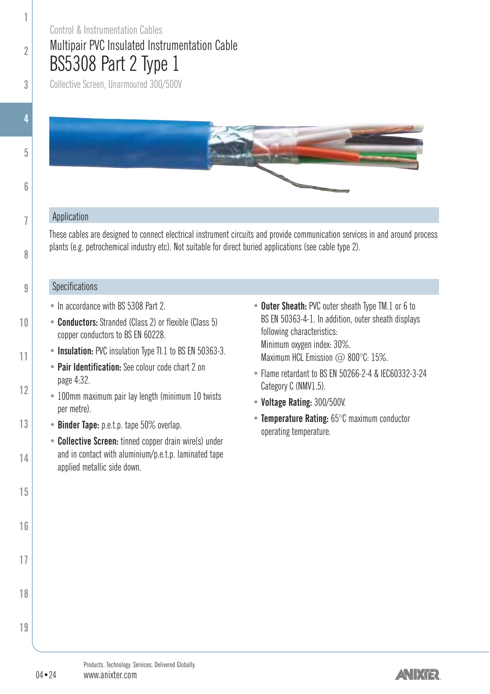## Multipair PVC Insulated Instrumentation Cable BS5308 Part 2 Type 1 Control & Instrumentation Cables

Collective Screen, Unarmoured 300/500V



#### Application

These cables are designed to connect electrical instrument circuits and provide communication services in and around process plants (e.g. petrochemical industry etc). Not suitable for direct buried applications (see cable type 2).

#### **Specifications**

- In accordance with BS 5308 Part 2.
- **Conductors:** Stranded (Class 2) or flexible (Class 5) copper conductors to BS FN 60228
- **Insulation:** PVC insulation Type TI.1 to BS EN 50363-3.
	- **Pair Identification:** See colour code chart 2 on page 4:32.
- 100mm maximum pair lay length (minimum 10 twists per metre).
- **Binder Tape:** p.e.t.p. tape 50% overlap.
	- **Collective Screen:** tinned copper drain wire(s) under and in contact with aluminium/p.e.t.p. laminated tape applied metallic side down.
- **Outer Sheath:** PVC outer sheath Type TM.1 or 6 to BS EN 50363-4-1. In addition, outer sheath displays following characteristics: Minimum oxygen index: 30%. Maximum HCL Emission  $\varpi$  800°C: 15%.
- Flame retardant to BS EN 50266-2-4 & IEC60332-3-24 Category C (NMV1.5).
- **Voltage Rating:** 300/500V.
- **Temperature Rating:** 65°C maximum conductor operating temperature.

**16**

**17**

**18**

**19**

**1**

**2**

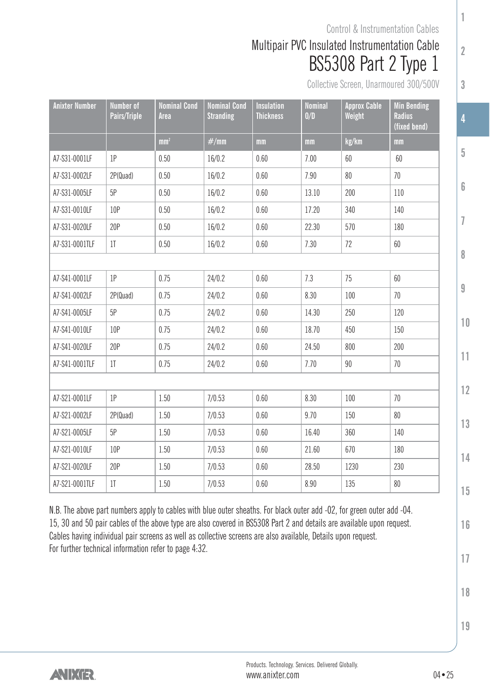## Multipair PVC Insulated Instrumentation Cable BS5308 Part 2 Type 1 Control & Instrumentation Cables

Collective Screen, Unarmoured 300/500V

**1**

**2**

**3**

**5**

**6**

**7**

**8**

**9**

**10**

**11**

**12**

**13**

**14**

**15**

**16**

**17**

| <b>Anixter Number</b> | Number of<br>Pairs/Triple | <b>Nominal Cond</b><br>Area | <b>Nominal Cond</b><br><b>Stranding</b> | <b>Insulation</b><br><b>Thickness</b> | <b>Nominal</b><br>0/D | <b>Approx Cable</b><br>Weight | <b>Min Bending</b><br><b>Radius</b><br>(fixed bend) |
|-----------------------|---------------------------|-----------------------------|-----------------------------------------|---------------------------------------|-----------------------|-------------------------------|-----------------------------------------------------|
|                       |                           | mm <sup>2</sup>             | #/mm                                    | mm                                    | mm                    | kg/km                         | mm                                                  |
| A7-S31-0001LF         | 1P                        | 0.50                        | 16/0.2                                  | 0.60                                  | 7.00                  | 60                            | 60                                                  |
| A7-S31-0002LF         | 2P(Quad)                  | 0.50                        | 16/0.2                                  | 0.60                                  | 7.90                  | 80                            | 70                                                  |
| A7-S31-0005LF         | 5P                        | 0.50                        | 16/0.2                                  | 0.60                                  | 13.10                 | 200                           | 110                                                 |
| A7-S31-0010LF         | 10P                       | 0.50                        | 16/0.2                                  | 0.60                                  | 17.20                 | 340                           | 140                                                 |
| A7-S31-0020LF         | 20P                       | 0.50                        | 16/0.2                                  | 0.60                                  | 22.30                 | 570                           | 180                                                 |
| A7-S31-0001TLF        | 1 <sup>T</sup>            | 0.50                        | 16/0.2                                  | 0.60                                  | 7.30                  | 72                            | 60                                                  |
|                       |                           |                             |                                         |                                       |                       |                               |                                                     |
| A7-S41-0001LF         | 1P                        | 0.75                        | 24/0.2                                  | 0.60                                  | 7.3                   | 75                            | 60                                                  |
| A7-S41-0002LF         | 2P(Quad)                  | 0.75                        | 24/0.2                                  | 0.60                                  | 8.30                  | 100                           | 70                                                  |
| A7-S41-0005LF         | 5P                        | 0.75                        | 24/0.2                                  | 0.60                                  | 14.30                 | 250                           | 120                                                 |
| A7-S41-0010LF         | 10P                       | 0.75                        | 24/0.2                                  | 0.60                                  | 18.70                 | 450                           | 150                                                 |
| A7-S41-0020LF         | 20P                       | 0.75                        | 24/0.2                                  | 0.60                                  | 24.50                 | 800                           | 200                                                 |
| A7-S41-0001TLF        | 1 <sup>T</sup>            | 0.75                        | 24/0.2                                  | 0.60                                  | 7.70                  | 90                            | 70                                                  |
|                       |                           |                             |                                         |                                       |                       |                               |                                                     |
| A7-S21-0001LF         | 1P                        | 1.50                        | 7/0.53                                  | 0.60                                  | 8.30                  | 100                           | 70                                                  |
| A7-S21-0002LF         | 2P(Quad)                  | 1.50                        | 7/0.53                                  | 0.60                                  | 9.70                  | 150                           | 80                                                  |
| A7-S21-0005LF         | 5P                        | 1.50                        | 7/0.53                                  | 0.60                                  | 16.40                 | 360                           | 140                                                 |
| A7-S21-0010LF         | 10P                       | 1.50                        | 7/0.53                                  | 0.60                                  | 21.60                 | 670                           | 180                                                 |
| A7-S21-0020LF         | 20P                       | 1.50                        | 7/0.53                                  | 0.60                                  | 28.50                 | 1230                          | 230                                                 |
| A7-S21-0001TLF        | 1 <sup>T</sup>            | 1.50                        | 7/0.53                                  | 0.60                                  | 8.90                  | 135                           | 80                                                  |

N.B. The above part numbers apply to cables with blue outer sheaths. For black outer add -02, for green outer add -04. 15, 30 and 50 pair cables of the above type are also covered in BS5308 Part 2 and details are available upon request. Cables having individual pair screens as well as collective screens are also available, Details upon request. [For further technical information refer to page 4:32.](#page-2-0)

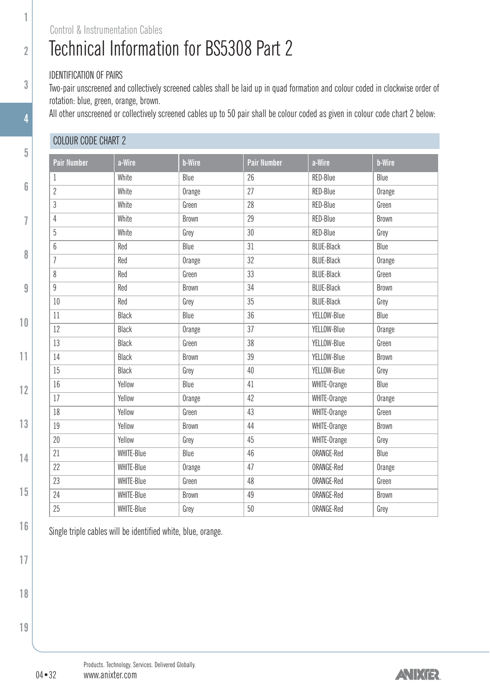#### Control & Instrumentation Cables

## Technical Information for BS5308 Part 2

#### IDENTIFICATION OF PAIRS

<span id="page-2-0"></span>**1**

**2**

**3**

**4**

**5**

**6**

**7**

**8**

**9**

**10**

**11**

**12**

**13**

**14**

**15**

**16**

Two-pair unscreened and collectively screened cables shall be laid up in quad formation and colour coded in clockwise order of rotation: blue, green, orange, brown.

All other unscreened or collectively screened cables up to 50 pair shall be colour coded as given in colour code chart 2 below:

#### COLOUR CODE CHART 2

| <b>Pair Number</b> | a-Wire     | <b>b-Wire</b> | <b>Pair Number</b> | a-Wire            | <b>b-Wire</b> |
|--------------------|------------|---------------|--------------------|-------------------|---------------|
| 1                  | White      | Blue          | 26                 | RED-Blue          | Blue          |
| $\overline{c}$     | White      | Orange        | 27                 | RED-Blue          | Orange        |
| 3                  | White      | Green         | 28                 | RED-Blue          | Green         |
| 4                  | White      | <b>Brown</b>  | 29                 | RED-Blue          | <b>Brown</b>  |
| 5                  | White      | Grey          | 30                 | RED-Blue          | Grey          |
| $6\overline{6}$    | Red        | Blue          | 31                 | <b>BLUE-Black</b> | Blue          |
| $\overline{1}$     | Red        | Orange        | 32                 | <b>BLUE-Black</b> | Orange        |
| 8                  | Red        | Green         | 33                 | <b>BLUE-Black</b> | Green         |
| 9                  | Red        | <b>Brown</b>  | 34                 | <b>BLUE-Black</b> | <b>Brown</b>  |
| 10                 | Red        | Grey          | 35                 | <b>BLUE-Black</b> | Grey          |
| 11                 | Black      | Blue          | 36                 | YELLOW-Blue       | Blue          |
| 12                 | Black      | Orange        | 37                 | YELLOW-Blue       | Orange        |
| 13                 | Black      | Green         | 38                 | YELLOW-Blue       | Green         |
| 14                 | Black      | <b>Brown</b>  | 39                 | YELLOW-Blue       | Brown         |
| 15                 | Black      | Grey          | 40                 | YELLOW-Blue       | Grey          |
| 16                 | Yellow     | Blue          | 41                 | WHITE-Orange      | Blue          |
| 17                 | Yellow     | Orange        | 42                 | WHITE-Orange      | Orange        |
| 18                 | Yellow     | Green         | 43                 | WHITE-Orange      | Green         |
| 19                 | Yellow     | <b>Brown</b>  | 44                 | WHITE-Orange      | <b>Brown</b>  |
| 20                 | Yellow     | Grey          | 45                 | WHITE-Orange      | Grey          |
| 21                 | WHITE-Blue | Blue          | 46                 | ORANGE-Red        | Blue          |
| 22                 | WHITE-Blue | Orange        | 47                 | ORANGE-Red        | Orange        |
| 23                 | WHITE-Blue | Green         | 48                 | ORANGE-Red        | Green         |
| 24                 | WHITE-Blue | Brown         | 49                 | ORANGE-Red        | Brown         |
| 25                 | WHITE-Blue | Grey          | 50                 | ORANGE-Red        | Grey          |
|                    |            |               |                    |                   |               |

Single triple cables will be identified white, blue, orange.

**18**